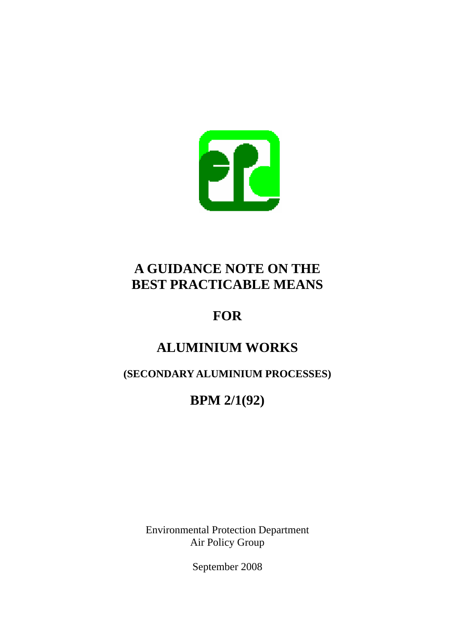

# **A GUIDANCE NOTE ON THE BEST PRACTICABLE MEANS**

# **FOR**

# **ALUMINIUM WORKS**

# **(SECONDARY ALUMINIUM PROCESSES)**

# **BPM 2/1(92)**

Environmental Protection Department Air Policy Group

September 2008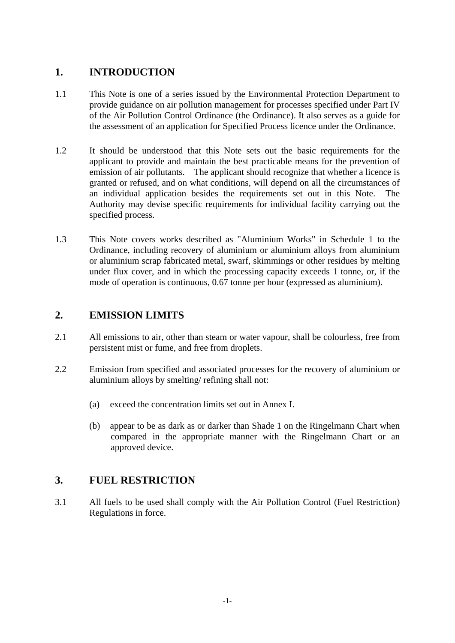### **1. INTRODUCTION**

- 1.1 This Note is one of a series issued by the Environmental Protection Department to provide guidance on air pollution management for processes specified under Part IV of the Air Pollution Control Ordinance (the Ordinance). It also serves as a guide for the assessment of an application for Specified Process licence under the Ordinance.
- 1.2 It should be understood that this Note sets out the basic requirements for the applicant to provide and maintain the best practicable means for the prevention of emission of air pollutants. The applicant should recognize that whether a licence is granted or refused, and on what conditions, will depend on all the circumstances of an individual application besides the requirements set out in this Note. The Authority may devise specific requirements for individual facility carrying out the specified process.
- 1.3 This Note covers works described as "Aluminium Works" in Schedule 1 to the Ordinance, including recovery of aluminium or aluminium alloys from aluminium or aluminium scrap fabricated metal, swarf, skimmings or other residues by melting under flux cover, and in which the processing capacity exceeds 1 tonne, or, if the mode of operation is continuous, 0.67 tonne per hour (expressed as aluminium).

### **2. EMISSION LIMITS**

- 2.1 All emissions to air, other than steam or water vapour, shall be colourless, free from persistent mist or fume, and free from droplets.
- 2.2 Emission from specified and associated processes for the recovery of aluminium or aluminium alloys by smelting/ refining shall not:
	- (a) exceed the concentration limits set out in Annex I.
	- (b) appear to be as dark as or darker than Shade 1 on the Ringelmann Chart when compared in the appropriate manner with the Ringelmann Chart or an approved device.

### **3. FUEL RESTRICTION**

3.1 All fuels to be used shall comply with the Air Pollution Control (Fuel Restriction) Regulations in force.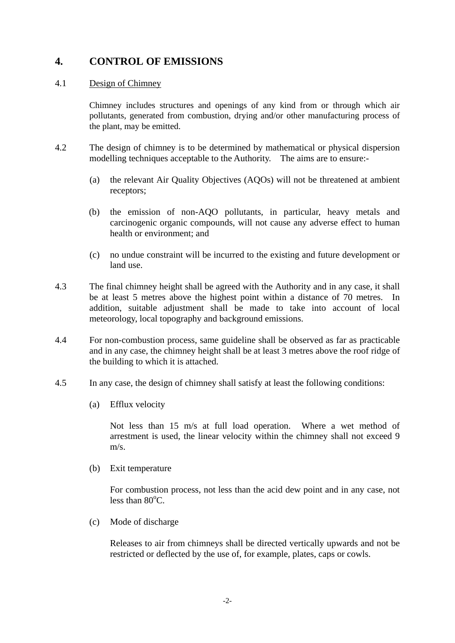### **4. CONTROL OF EMISSIONS**

#### 4.1 Design of Chimney

Chimney includes structures and openings of any kind from or through which air pollutants, generated from combustion, drying and/or other manufacturing process of the plant, may be emitted.

- 4.2 The design of chimney is to be determined by mathematical or physical dispersion modelling techniques acceptable to the Authority. The aims are to ensure:-
	- (a) the relevant Air Quality Objectives (AQOs) will not be threatened at ambient receptors;
	- (b) the emission of non-AQO pollutants, in particular, heavy metals and carcinogenic organic compounds, will not cause any adverse effect to human health or environment; and
	- (c) no undue constraint will be incurred to the existing and future development or land use.
- 4.3 The final chimney height shall be agreed with the Authority and in any case, it shall be at least 5 metres above the highest point within a distance of 70 metres. In addition, suitable adjustment shall be made to take into account of local meteorology, local topography and background emissions.
- 4.4 For non-combustion process, same guideline shall be observed as far as practicable and in any case, the chimney height shall be at least 3 metres above the roof ridge of the building to which it is attached.
- 4.5 In any case, the design of chimney shall satisfy at least the following conditions:
	- (a) Efflux velocity

Not less than 15 m/s at full load operation. Where a wet method of arrestment is used, the linear velocity within the chimney shall not exceed 9 m/s.

(b) Exit temperature

For combustion process, not less than the acid dew point and in any case, not less than  $80^{\circ}$ C.

(c) Mode of discharge

Releases to air from chimneys shall be directed vertically upwards and not be restricted or deflected by the use of, for example, plates, caps or cowls.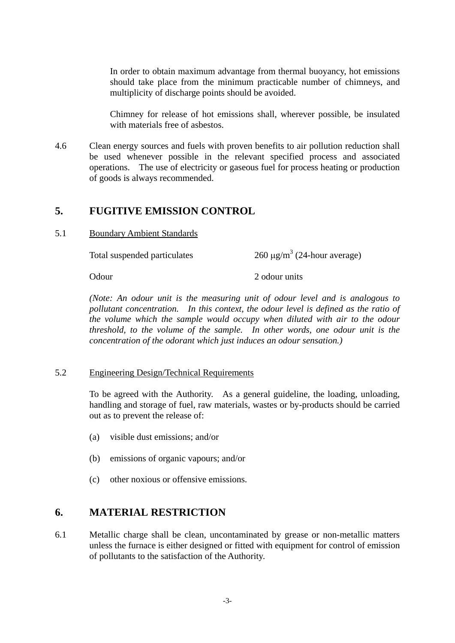In order to obtain maximum advantage from thermal buoyancy, hot emissions should take place from the minimum practicable number of chimneys, and multiplicity of discharge points should be avoided.

Chimney for release of hot emissions shall, wherever possible, be insulated with materials free of asbestos.

4.6 Clean energy sources and fuels with proven benefits to air pollution reduction shall be used whenever possible in the relevant specified process and associated operations. The use of electricity or gaseous fuel for process heating or production of goods is always recommended.

#### **5. FUGITIVE EMISSION CONTROL**

5.1 Boundary Ambient Standards

Total suspended particulates

 $260 \mu g/m^3$  (24-hour average)

Odour 2 odour units

*(Note: An odour unit is the measuring unit of odour level and is analogous to pollutant concentration. In this context, the odour level is defined as the ratio of the volume which the sample would occupy when diluted with air to the odour threshold, to the volume of the sample. In other words, one odour unit is the concentration of the odorant which just induces an odour sensation.)* 

#### 5.2 Engineering Design/Technical Requirements

To be agreed with the Authority. As a general guideline, the loading, unloading, handling and storage of fuel, raw materials, wastes or by-products should be carried out as to prevent the release of:

- (a) visible dust emissions; and/or
- (b) emissions of organic vapours; and/or
- (c) other noxious or offensive emissions.

#### **6. MATERIAL RESTRICTION**

6.1 Metallic charge shall be clean, uncontaminated by grease or non-metallic matters unless the furnace is either designed or fitted with equipment for control of emission of pollutants to the satisfaction of the Authority.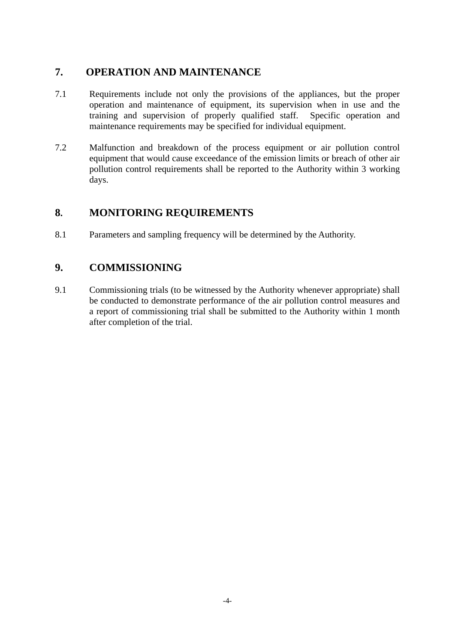### **7. OPERATION AND MAINTENANCE**

- 7.1 Requirements include not only the provisions of the appliances, but the proper operation and maintenance of equipment, its supervision when in use and the training and supervision of properly qualified staff. Specific operation and maintenance requirements may be specified for individual equipment.
- 7.2 Malfunction and breakdown of the process equipment or air pollution control equipment that would cause exceedance of the emission limits or breach of other air pollution control requirements shall be reported to the Authority within 3 working days.

### **8. MONITORING REQUIREMENTS**

8.1 Parameters and sampling frequency will be determined by the Authority.

## **9. COMMISSIONING**

9.1 Commissioning trials (to be witnessed by the Authority whenever appropriate) shall be conducted to demonstrate performance of the air pollution control measures and a report of commissioning trial shall be submitted to the Authority within 1 month after completion of the trial.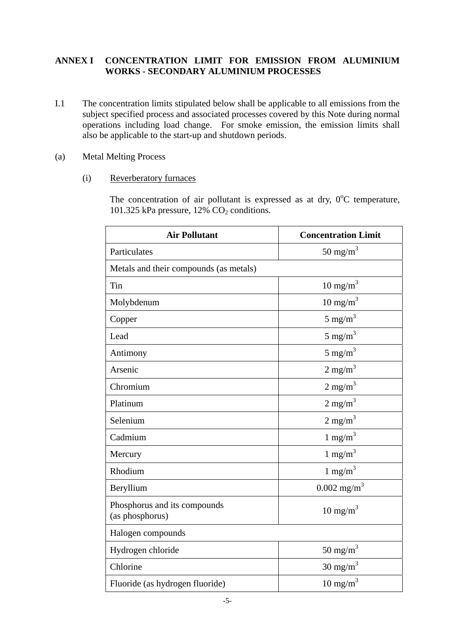#### **ANNEX I CONCENTRATION LIMIT FOR EMISSION FROM ALUMINIUM WORKS - SECONDARY ALUMINIUM PROCESSES**

- I.1 The concentration limits stipulated below shall be applicable to all emissions from the subject specified process and associated processes covered by this Note during normal operations including load change. For smoke emission, the emission limits shall also be applicable to the start-up and shutdown periods.
- (a) Metal Melting Process
	- (i) Reverberatory furnaces

The concentration of air pollutant is expressed as at dry,  $0^{\circ}$ C temperature, 101.325 kPa pressure,  $12\%$  CO<sub>2</sub> conditions.

| <b>Air Pollutant</b>                            | <b>Concentration Limit</b> |
|-------------------------------------------------|----------------------------|
| Particulates                                    | 50 mg/m <sup>3</sup>       |
| Metals and their compounds (as metals)          |                            |
| Tin                                             | $10 \text{ mg/m}^3$        |
| Molybdenum                                      | $10 \text{ mg/m}^3$        |
| Copper                                          | 5 mg/m <sup>3</sup>        |
| Lead                                            | 5 mg/m <sup>3</sup>        |
| Antimony                                        | 5 mg/m <sup>3</sup>        |
| Arsenic                                         | $2 \text{ mg/m}^3$         |
| Chromium                                        | $2 \text{ mg/m}^3$         |
| Platinum                                        | $2 \text{ mg/m}^3$         |
| Selenium                                        | $2 \text{ mg/m}^3$         |
| Cadmium                                         | 1 mg/m <sup>3</sup>        |
| Mercury                                         | $1 \text{ mg/m}^3$         |
| Rhodium                                         | 1 mg/m <sup>3</sup>        |
| Beryllium                                       | $0.002$ mg/m <sup>3</sup>  |
| Phosphorus and its compounds<br>(as phosphorus) | $10 \text{ mg/m}^3$        |
| Halogen compounds                               |                            |
| Hydrogen chloride                               | 50 mg/m $3$                |
| Chlorine                                        | $30 \text{ mg/m}^3$        |
| Fluoride (as hydrogen fluoride)                 | $10 \text{ mg/m}^3$        |